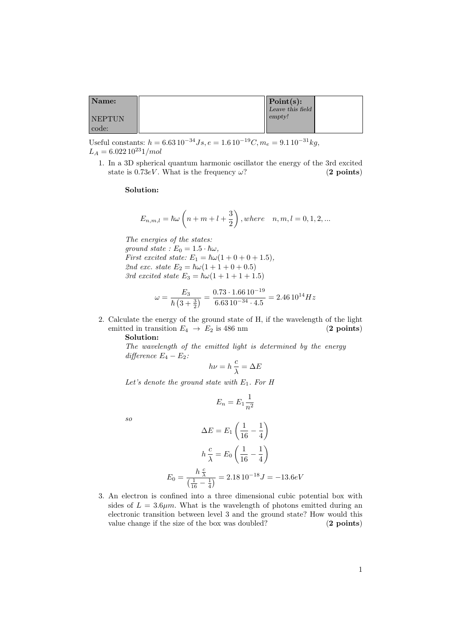| Name:         | Point(s):        |  |
|---------------|------------------|--|
|               | Leave this field |  |
| <b>NEPTUN</b> | empty!           |  |
| code:         |                  |  |

Useful constants:  $h = 6.63 10^{-34} Js$ ,  $e = 1.6 10^{-19} C$ ,  $m_e = 9.1 10^{-31} kg$ ,  $L_A = 6.022\,10^{23}1/mol$ 

1. In a 3D spherical quantum harmonic oscillator the energy of the 3rd excited state is 0.73eV. What is the frequency  $\omega$ ? (2 points)

## Solution:

$$
E_{n,m,l} = \hbar \omega \left( n + m + l + \frac{3}{2} \right)
$$
, where  $n, m, l = 0, 1, 2, ...$ 

The energies of the states: ground state :  $E_0 = 1.5 \cdot \hbar \omega$ , First excited state:  $E_1 = \hbar \omega (1 + 0 + 0 + 1.5),$ 2nd exc. state  $E_2 = \hbar \omega (1 + 1 + 0 + 0.5)$ 3rd excited state  $E_3 = \hbar\omega(1 + 1 + 1 + 1.5)$ 

$$
\omega = \frac{E_3}{\hbar (3 + \frac{3}{2})} = \frac{0.73 \cdot 1.66 \cdot 10^{-19}}{6.63 \cdot 10^{-34} \cdot 4.5} = 2.46 \cdot 10^{14} Hz
$$

2. Calculate the energy of the ground state of H, if the wavelength of the light emitted in transition  $E_4 \rightarrow E_2$  is 486 nm (2 points) Solution:

The wavelength of the emitted light is determined by the energy difference  $E_4 - E_2$ :

$$
h\nu = h\,\frac{c}{\lambda} = \Delta E
$$

Let's denote the ground state with  $E_1$ . For H

$$
E_n = E_1 \frac{1}{n^2}
$$

so

$$
\Delta E = E_1 \left( \frac{1}{16} - \frac{1}{4} \right)
$$

$$
h \frac{c}{\lambda} = E_0 \left( \frac{1}{16} - \frac{1}{4} \right)
$$

$$
E_0 = \frac{h \frac{c}{\lambda}}{\left( \frac{1}{16} - \frac{1}{4} \right)} = 2.18 \cdot 10^{-18} J = -13.6 eV
$$

3. An electron is confined into a three dimensional cubic potential box with sides of  $L = 3.6 \mu m$ . What is the wavelength of photons emitted during an electronic transition between level 3 and the ground state? How would this value change if the size of the box was doubled? (2 points)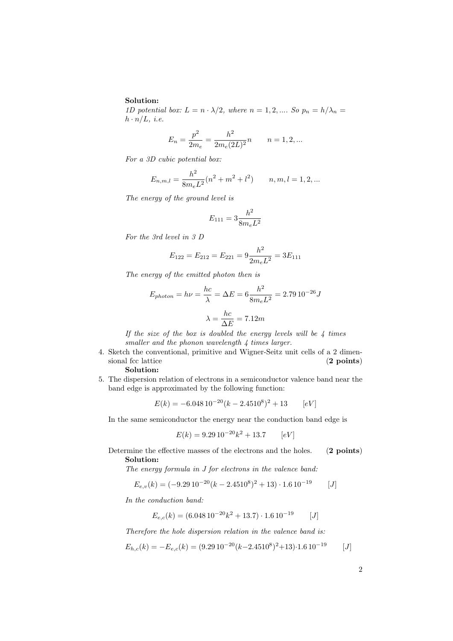## Solution:

1D potential box:  $L = n \cdot \lambda/2$ , where  $n = 1, 2, ...$  So  $p_n = h/\lambda_n =$  $h \cdot n/L$ , *i.e.* 

$$
E_n = \frac{p^2}{2m_e} = \frac{h^2}{2m_e(2L)^2}n \qquad n = 1, 2, ...
$$

For a 3D cubic potential box:

$$
E_{n,m,l} = \frac{h^2}{8m_eL^2}(n^2 + m^2 + l^2) \qquad n, m, l = 1, 2, ...
$$

The energy of the ground level is

$$
E_{111} = 3 \frac{h^2}{8m_e L^2}
$$

For the 3rd level in 3 D

$$
E_{122} = E_{212} = E_{221} = 9\frac{h^2}{2m_eL^2} = 3E_{111}
$$

The energy of the emitted photon then is

$$
E_{photon} = h\nu = \frac{hc}{\lambda} = \Delta E = 6 \frac{h^2}{8m_eL^2} = 2.79 10^{-26} J
$$

$$
\lambda = \frac{hc}{\Delta E} = 7.12m
$$

 $\overline{a}$ 

If the size of the box is doubled the energy levels will be  $\lambda$  times smaller and the phonon wavelength  $\frac{1}{4}$  times larger.

- 4. Sketch the conventional, primitive and Wigner-Seitz unit cells of a 2 dimensional fcc lattice (2 points) Solution:
- 5. The dispersion relation of electrons in a semiconductor valence band near the band edge is approximated by the following function:

$$
E(k) = -6.048 \, 10^{-20} (k - 2.4510^8)^2 + 13 \qquad [eV]
$$

In the same semiconductor the energy near the conduction band edge is

$$
E(k) = 9.29 \, 10^{-20} k^2 + 13.7 \qquad [eV]
$$

Determine the effective masses of the electrons and the holes. (2 points) Solution:

The energy formula in J for electrons in the valence band:

$$
E_{e,v}(k) = (-9.29 \, 10^{-20} (k - 2.4510^8)^2 + 13) \cdot 1.6 \, 10^{-19} \qquad [J]
$$

In the conduction band:

$$
E_{e,c}(k) = (6.048 \, 10^{-20} k^2 + 13.7) \cdot 1.6 \, 10^{-19} \qquad [J]
$$

Therefore the hole dispersion relation in the valence band is:

$$
E_{h,c}(k) = -E_{e,c}(k) = (9.29 \, 10^{-20} (k - 2.4510^8)^2 + 13) \cdot 1.6 \, 10^{-19} \qquad [J]
$$